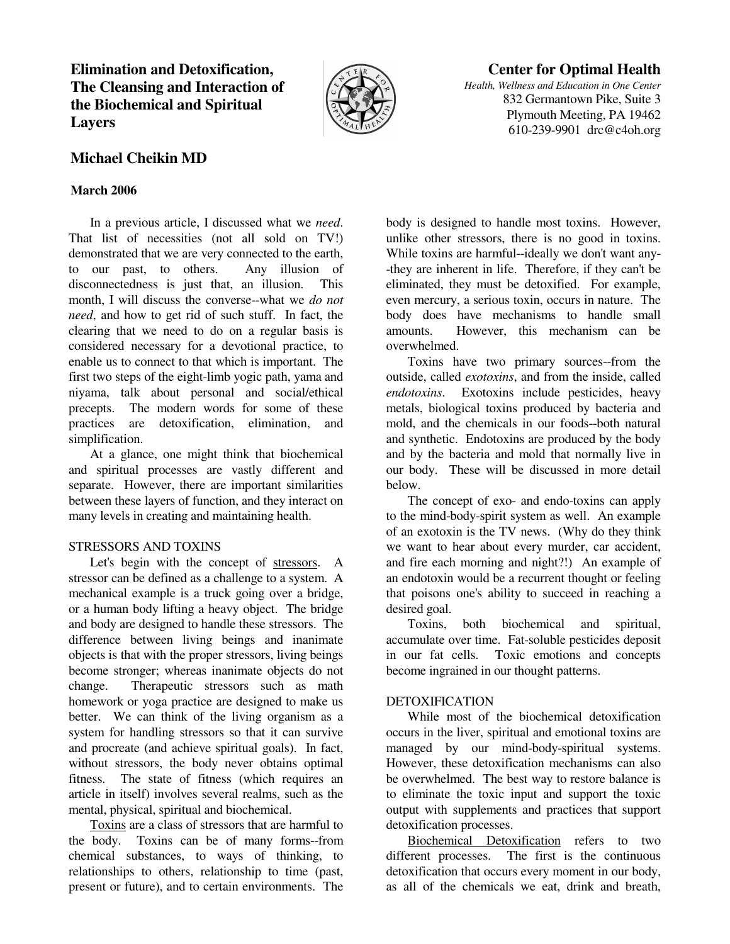**Elimination and Detoxification, The Cleansing and Interaction of the Biochemical and Spiritual Layers** 



# **Center for Optimal Health**

*Health, Wellness and Education in One Center* 832 Germantown Pike, Suite 3 Plymouth Meeting, PA 19462 610-239-9901 drc@c4oh.org

# **Michael Cheikin MD**

## **March 2006**

 In a previous article, I discussed what we *need*. That list of necessities (not all sold on TV!) demonstrated that we are very connected to the earth, to our past, to others. Any illusion of disconnectedness is just that, an illusion. This month, I will discuss the converse--what we *do not need*, and how to get rid of such stuff. In fact, the clearing that we need to do on a regular basis is considered necessary for a devotional practice, to enable us to connect to that which is important. The first two steps of the eight-limb yogic path, yama and niyama, talk about personal and social/ethical precepts. The modern words for some of these practices are detoxification, elimination, and simplification.

 At a glance, one might think that biochemical and spiritual processes are vastly different and separate. However, there are important similarities between these layers of function, and they interact on many levels in creating and maintaining health.

#### STRESSORS AND TOXINS

 Let's begin with the concept of stressors. A stressor can be defined as a challenge to a system. A mechanical example is a truck going over a bridge, or a human body lifting a heavy object. The bridge and body are designed to handle these stressors. The difference between living beings and inanimate objects is that with the proper stressors, living beings become stronger; whereas inanimate objects do not change. Therapeutic stressors such as math homework or yoga practice are designed to make us better. We can think of the living organism as a system for handling stressors so that it can survive and procreate (and achieve spiritual goals). In fact, without stressors, the body never obtains optimal fitness. The state of fitness (which requires an article in itself) involves several realms, such as the mental, physical, spiritual and biochemical.

 Toxins are a class of stressors that are harmful to the body. Toxins can be of many forms--from chemical substances, to ways of thinking, to relationships to others, relationship to time (past, present or future), and to certain environments. The

body is designed to handle most toxins. However, unlike other stressors, there is no good in toxins. While toxins are harmful--ideally we don't want any- -they are inherent in life. Therefore, if they can't be eliminated, they must be detoxified. For example, even mercury, a serious toxin, occurs in nature. The body does have mechanisms to handle small amounts. However, this mechanism can be overwhelmed.

 Toxins have two primary sources--from the outside, called *exotoxins*, and from the inside, called *endotoxins*. Exotoxins include pesticides, heavy metals, biological toxins produced by bacteria and mold, and the chemicals in our foods--both natural and synthetic. Endotoxins are produced by the body and by the bacteria and mold that normally live in our body. These will be discussed in more detail below.

 The concept of exo- and endo-toxins can apply to the mind-body-spirit system as well. An example of an exotoxin is the TV news. (Why do they think we want to hear about every murder, car accident, and fire each morning and night?!) An example of an endotoxin would be a recurrent thought or feeling that poisons one's ability to succeed in reaching a desired goal.

 Toxins, both biochemical and spiritual, accumulate over time. Fat-soluble pesticides deposit in our fat cells. Toxic emotions and concepts become ingrained in our thought patterns.

## DETOXIFICATION

 While most of the biochemical detoxification occurs in the liver, spiritual and emotional toxins are managed by our mind-body-spiritual systems. However, these detoxification mechanisms can also be overwhelmed. The best way to restore balance is to eliminate the toxic input and support the toxic output with supplements and practices that support detoxification processes.

 Biochemical Detoxification refers to two different processes. The first is the continuous detoxification that occurs every moment in our body, as all of the chemicals we eat, drink and breath,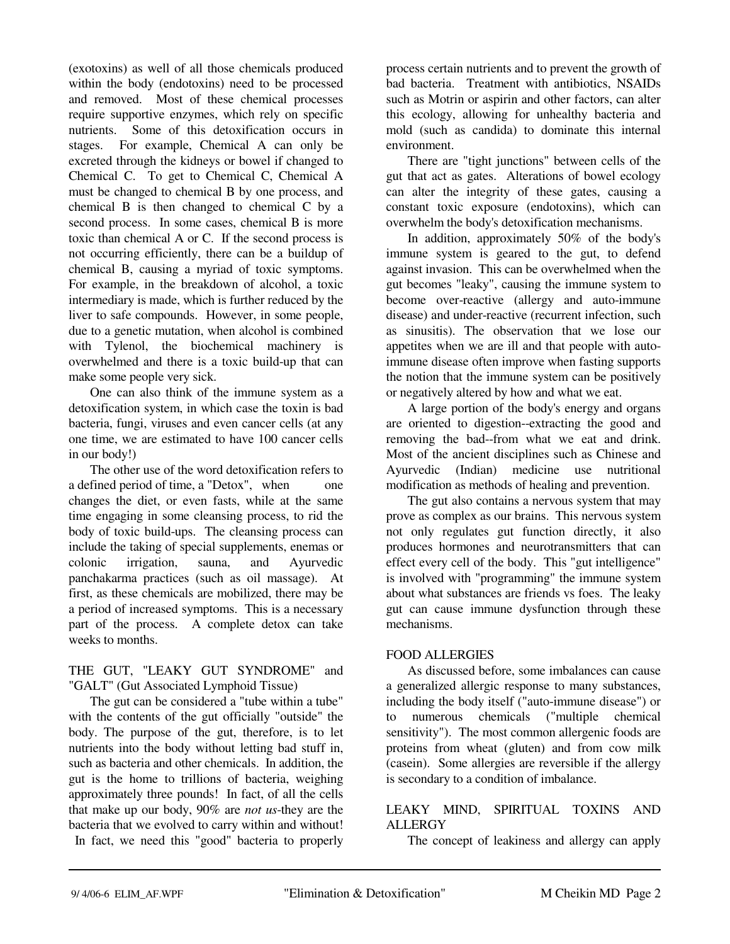(exotoxins) as well of all those chemicals produced within the body (endotoxins) need to be processed and removed. Most of these chemical processes require supportive enzymes, which rely on specific nutrients. Some of this detoxification occurs in stages. For example, Chemical A can only be excreted through the kidneys or bowel if changed to Chemical C. To get to Chemical C, Chemical A must be changed to chemical B by one process, and chemical B is then changed to chemical C by a second process. In some cases, chemical B is more toxic than chemical A or C. If the second process is not occurring efficiently, there can be a buildup of chemical B, causing a myriad of toxic symptoms. For example, in the breakdown of alcohol, a toxic intermediary is made, which is further reduced by the liver to safe compounds. However, in some people, due to a genetic mutation, when alcohol is combined with Tylenol, the biochemical machinery is overwhelmed and there is a toxic build-up that can make some people very sick.

 One can also think of the immune system as a detoxification system, in which case the toxin is bad bacteria, fungi, viruses and even cancer cells (at any one time, we are estimated to have 100 cancer cells in our body!)

 The other use of the word detoxification refers to a defined period of time, a "Detox", when one changes the diet, or even fasts, while at the same time engaging in some cleansing process, to rid the body of toxic build-ups. The cleansing process can include the taking of special supplements, enemas or colonic irrigation, sauna, and Ayurvedic panchakarma practices (such as oil massage). At first, as these chemicals are mobilized, there may be a period of increased symptoms. This is a necessary part of the process. A complete detox can take weeks to months.

THE GUT, "LEAKY GUT SYNDROME" and "GALT" (Gut Associated Lymphoid Tissue)

 The gut can be considered a "tube within a tube" with the contents of the gut officially "outside" the body. The purpose of the gut, therefore, is to let nutrients into the body without letting bad stuff in, such as bacteria and other chemicals. In addition, the gut is the home to trillions of bacteria, weighing approximately three pounds! In fact, of all the cells that make up our body, 90% are *not us*-they are the bacteria that we evolved to carry within and without! In fact, we need this "good" bacteria to properly process certain nutrients and to prevent the growth of bad bacteria. Treatment with antibiotics, NSAIDs such as Motrin or aspirin and other factors, can alter this ecology, allowing for unhealthy bacteria and mold (such as candida) to dominate this internal environment.

 There are "tight junctions" between cells of the gut that act as gates. Alterations of bowel ecology can alter the integrity of these gates, causing a constant toxic exposure (endotoxins), which can overwhelm the body's detoxification mechanisms.

 In addition, approximately 50% of the body's immune system is geared to the gut, to defend against invasion. This can be overwhelmed when the gut becomes "leaky", causing the immune system to become over-reactive (allergy and auto-immune disease) and under-reactive (recurrent infection, such as sinusitis). The observation that we lose our appetites when we are ill and that people with autoimmune disease often improve when fasting supports the notion that the immune system can be positively or negatively altered by how and what we eat.

 A large portion of the body's energy and organs are oriented to digestion--extracting the good and removing the bad--from what we eat and drink. Most of the ancient disciplines such as Chinese and Ayurvedic (Indian) medicine use nutritional modification as methods of healing and prevention.

 The gut also contains a nervous system that may prove as complex as our brains. This nervous system not only regulates gut function directly, it also produces hormones and neurotransmitters that can effect every cell of the body. This "gut intelligence" is involved with "programming" the immune system about what substances are friends vs foes. The leaky gut can cause immune dysfunction through these mechanisms.

#### FOOD ALLERGIES

 As discussed before, some imbalances can cause a generalized allergic response to many substances, including the body itself ("auto-immune disease") or to numerous chemicals ("multiple chemical sensitivity"). The most common allergenic foods are proteins from wheat (gluten) and from cow milk (casein). Some allergies are reversible if the allergy is secondary to a condition of imbalance.

#### LEAKY MIND, SPIRITUAL TOXINS AND ALLERGY

The concept of leakiness and allergy can apply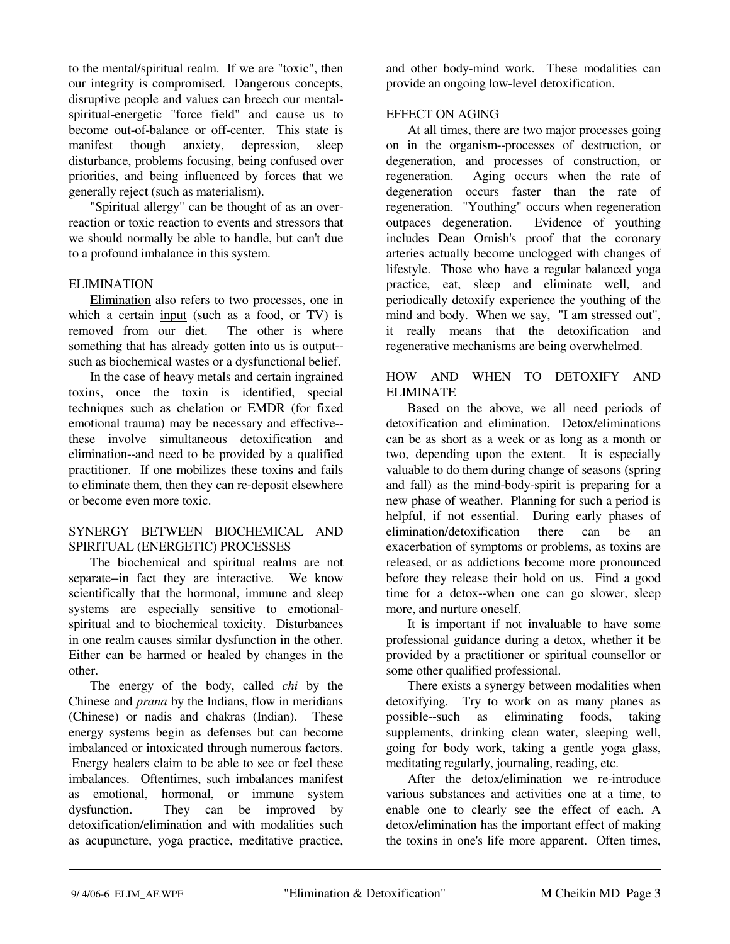to the mental/spiritual realm. If we are "toxic", then our integrity is compromised. Dangerous concepts, disruptive people and values can breech our mentalspiritual-energetic "force field" and cause us to become out-of-balance or off-center. This state is manifest though anxiety, depression, sleep disturbance, problems focusing, being confused over priorities, and being influenced by forces that we generally reject (such as materialism).

 "Spiritual allergy" can be thought of as an overreaction or toxic reaction to events and stressors that we should normally be able to handle, but can't due to a profound imbalance in this system.

### ELIMINATION

 Elimination also refers to two processes, one in which a certain input (such as a food, or TV) is removed from our diet. The other is where something that has already gotten into us is output- such as biochemical wastes or a dysfunctional belief.

 In the case of heavy metals and certain ingrained toxins, once the toxin is identified, special techniques such as chelation or EMDR (for fixed emotional trauma) may be necessary and effective- these involve simultaneous detoxification and elimination--and need to be provided by a qualified practitioner. If one mobilizes these toxins and fails to eliminate them, then they can re-deposit elsewhere or become even more toxic.

### SYNERGY BETWEEN BIOCHEMICAL AND SPIRITUAL (ENERGETIC) PROCESSES

 The biochemical and spiritual realms are not separate--in fact they are interactive. We know scientifically that the hormonal, immune and sleep systems are especially sensitive to emotionalspiritual and to biochemical toxicity. Disturbances in one realm causes similar dysfunction in the other. Either can be harmed or healed by changes in the other.

 The energy of the body, called *chi* by the Chinese and *prana* by the Indians, flow in meridians (Chinese) or nadis and chakras (Indian). These energy systems begin as defenses but can become imbalanced or intoxicated through numerous factors. Energy healers claim to be able to see or feel these imbalances. Oftentimes, such imbalances manifest as emotional, hormonal, or immune system dysfunction. They can be improved by detoxification/elimination and with modalities such as acupuncture, yoga practice, meditative practice,

and other body-mind work. These modalities can provide an ongoing low-level detoxification.

## EFFECT ON AGING

 At all times, there are two major processes going on in the organism--processes of destruction, or degeneration, and processes of construction, or regeneration. Aging occurs when the rate of degeneration occurs faster than the rate of regeneration. "Youthing" occurs when regeneration outpaces degeneration. Evidence of youthing includes Dean Ornish's proof that the coronary arteries actually become unclogged with changes of lifestyle. Those who have a regular balanced yoga practice, eat, sleep and eliminate well, and periodically detoxify experience the youthing of the mind and body. When we say, "I am stressed out", it really means that the detoxification and regenerative mechanisms are being overwhelmed.

## HOW AND WHEN TO DETOXIFY AND ELIMINATE

 Based on the above, we all need periods of detoxification and elimination. Detox/eliminations can be as short as a week or as long as a month or two, depending upon the extent. It is especially valuable to do them during change of seasons (spring and fall) as the mind-body-spirit is preparing for a new phase of weather. Planning for such a period is helpful, if not essential. During early phases of elimination/detoxification there can be an exacerbation of symptoms or problems, as toxins are released, or as addictions become more pronounced before they release their hold on us. Find a good time for a detox--when one can go slower, sleep more, and nurture oneself.

 It is important if not invaluable to have some professional guidance during a detox, whether it be provided by a practitioner or spiritual counsellor or some other qualified professional.

 There exists a synergy between modalities when detoxifying. Try to work on as many planes as possible--such as eliminating foods, taking supplements, drinking clean water, sleeping well, going for body work, taking a gentle yoga glass, meditating regularly, journaling, reading, etc.

 After the detox/elimination we re-introduce various substances and activities one at a time, to enable one to clearly see the effect of each. A detox/elimination has the important effect of making the toxins in one's life more apparent. Often times,